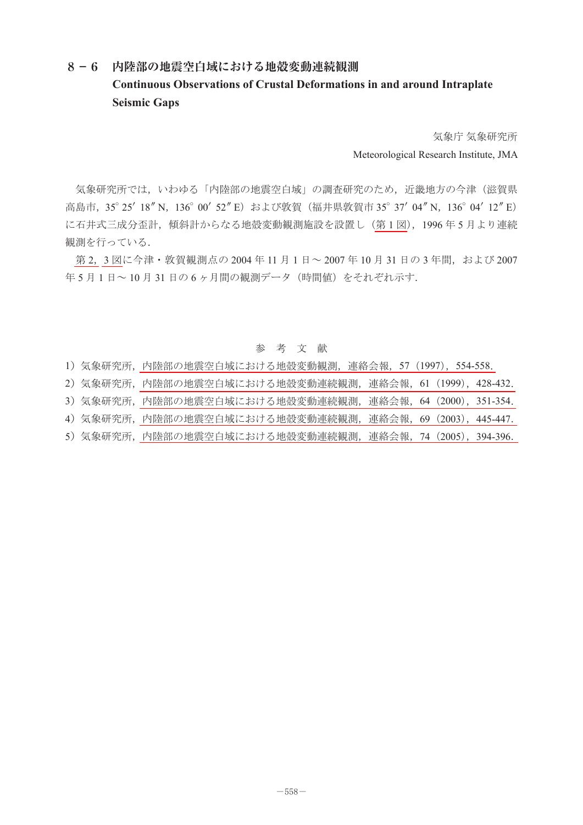## **8-6 内陸部の地震空白域における地殻変動連続観測 Continuous Observations of Crustal Deformations in and around Intraplate Seismic Gaps**

気象庁 気象研究所 Meteorological Research Institute, JMA

気象研究所では,いわゆる「内陸部の地震空白域」の調査研究のため,近畿地方の今津(滋賀県 高島市, 35°25' 18" N, 136° 00' 52" E) および敦賀 (福井県敦賀市 35° 37' 04" N, 136° 04' 12" E) に石井式三成分歪計,傾斜計からなる地殻変動観測施設を設置し[\(第](#page-1-0)1図), 1996年5月より連続 観測を行っている.

[第](#page-1-0) 2, 3 [図](#page-2-0)に今津・敦賀観測点の 2004 年 11 月 1 日~ 2007 年 10 月 31 日の 3 年間, および 2007 年5月1日~10月31日の6ヶ月間の観測データ (時間値)をそれぞれ示す.

## 参 考 文 献

- 1)気象研究所,内陸部の地震空白域における地殻変動観測,連絡会報,57(1997),554-558.
- 2)気象研究所,内陸部の地震空白域における地殻変動連続観測,連絡会報,61(1999),428-432.
- 3)気象研究所,内陸部の地震空白域における地殻変動連続観測,連絡会報,64(2000),351-354.
- 4)気象研究所,内陸部の地震空白域における地殻変動連続観測,連絡会報,69(2003),445-447.
- 5)気象研究所,内陸部の地震空白域における地殻変動連続観測,連絡会報,74(2005),394-396.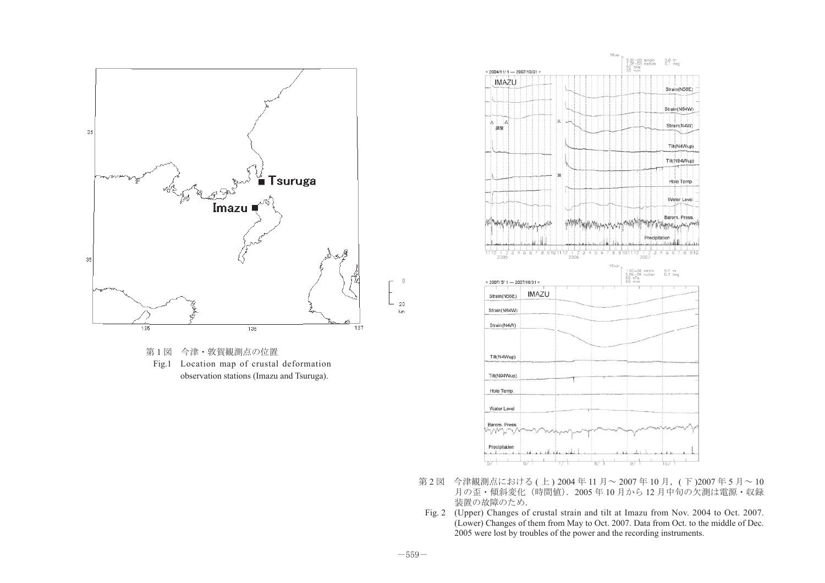<span id="page-1-0"></span>

第1図 今津·敦賀観測点の位置 Fig.1 Location map of crustal deformation observation stations (Imazu and Tsuruga).



- 第 2 図 今津観測点における (上) 2004年 11 月~ 2007年 10 月, (下) 2007年 5 月~10 月の歪・傾斜変化(時間値).2005 年 10 月から 12 月中旬の欠測は電源・収録 装置の故障のため.
- Fig. 2 (Upper) Changes of crustal strain and tilt at Imazu from Nov. 2004 to Oct. 2007. (Lower) Changes of them from May to Oct. 2007. Data from Oct. to the middle of Dec. 2005 were lost by troubles of the power and the recording instruments.

 $\overline{0}$ 

 $20\,$ 

 ${\sf km}$